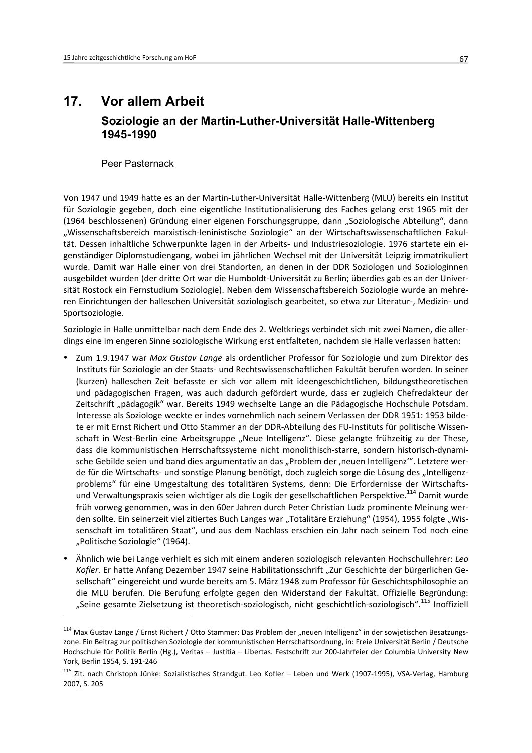## $17.$ **Vor allem Arbeit** Soziologie an der Martin-Luther-Universität Halle-Wittenberg 1945-1990

Peer Pasternack

Von 1947 und 1949 hatte es an der Martin-Luther-Universität Halle-Wittenberg (MLU) bereits ein Institut für Soziologie gegeben, doch eine eigentliche Institutionalisierung des Faches gelang erst 1965 mit der (1964 beschlossenen) Gründung einer eigenen Forschungsgruppe, dann "Soziologische Abteilung", dann "Wissenschaftsbereich marxistisch-leninistische Soziologie" an der Wirtschaftswissenschaftlichen Fakultät. Dessen inhaltliche Schwerpunkte lagen in der Arbeits- und Industriesoziologie. 1976 startete ein eigenständiger Diplomstudiengang, wobei im jährlichen Wechsel mit der Universität Leipzig immatrikuliert wurde. Damit war Halle einer von drei Standorten, an denen in der DDR Soziologen und Soziologinnen ausgebildet wurden (der dritte Ort war die Humboldt-Universität zu Berlin; überdies gab es an der Universität Rostock ein Fernstudium Soziologie). Neben dem Wissenschaftsbereich Soziologie wurde an mehreren Einrichtungen der halleschen Universität soziologisch gearbeitet, so etwa zur Literatur-, Medizin- und Sportsoziologie.

Soziologie in Halle unmittelbar nach dem Ende des 2. Weltkriegs verbindet sich mit zwei Namen, die allerdings eine im engeren Sinne soziologische Wirkung erst entfalteten, nachdem sie Halle verlassen hatten:

- Zum 1.9.1947 war Max Gustav Lange als ordentlicher Professor für Soziologie und zum Direktor des Instituts für Soziologie an der Staats- und Rechtswissenschaftlichen Fakultät berufen worden. In seiner (kurzen) halleschen Zeit befasste er sich vor allem mit ideengeschichtlichen, bildungstheoretischen und pädagogischen Fragen, was auch dadurch gefördert wurde, dass er zugleich Chefredakteur der Zeitschrift "pädagogik" war. Bereits 1949 wechselte Lange an die Pädagogische Hochschule Potsdam. Interesse als Soziologe weckte er indes vornehmlich nach seinem Verlassen der DDR 1951: 1953 bildete er mit Ernst Richert und Otto Stammer an der DDR-Abteilung des FU-Instituts für politische Wissenschaft in West-Berlin eine Arbeitsgruppe "Neue Intelligenz". Diese gelangte frühzeitig zu der These, dass die kommunistischen Herrschaftssysteme nicht monolithisch-starre, sondern historisch-dynamische Gebilde seien und band dies argumentativ an das "Problem der 'neuen Intelligenz"". Letztere werde für die Wirtschafts- und sonstige Planung benötigt, doch zugleich sorge die Lösung des "Intelligenzproblems" für eine Umgestaltung des totalitären Systems, denn: Die Erfordernisse der Wirtschaftsund Verwaltungspraxis seien wichtiger als die Logik der gesellschaftlichen Perspektive.<sup>114</sup> Damit wurde früh vorweg genommen, was in den 60er Jahren durch Peter Christian Ludz prominente Meinung werden sollte. Ein seinerzeit viel zitiertes Buch Langes war "Totalitäre Erziehung" (1954), 1955 folgte "Wissenschaft im totalitären Staat", und aus dem Nachlass erschien ein Jahr nach seinem Tod noch eine "Politische Soziologie" (1964).
- Ähnlich wie bei Lange verhielt es sich mit einem anderen soziologisch relevanten Hochschullehrer: Leo Kofler. Er hatte Anfang Dezember 1947 seine Habilitationsschrift "Zur Geschichte der bürgerlichen Gesellschaft" eingereicht und wurde bereits am 5. März 1948 zum Professor für Geschichtsphilosophie an die MLU berufen. Die Berufung erfolgte gegen den Widerstand der Fakultät. Offizielle Begründung: "Seine gesamte Zielsetzung ist theoretisch-soziologisch, nicht geschichtlich-soziologisch".<sup>115</sup> Inoffiziell

<sup>&</sup>lt;sup>114</sup> Max Gustav Lange / Ernst Richert / Otto Stammer: Das Problem der "neuen Intelligenz" in der sowjetischen Besatzungszone. Ein Beitrag zur politischen Soziologie der kommunistischen Herrschaftsordnung, in: Freie Universität Berlin / Deutsche Hochschule für Politik Berlin (Hg.), Veritas - Justitia - Libertas. Festschrift zur 200-Jahrfeier der Columbia University New York. Berlin 1954. S. 191-246

<sup>&</sup>lt;sup>115</sup> Zit. nach Christoph Jünke: Sozialistisches Strandgut. Leo Kofler - Leben und Werk (1907-1995), VSA-Verlag, Hamburg 2007, S. 205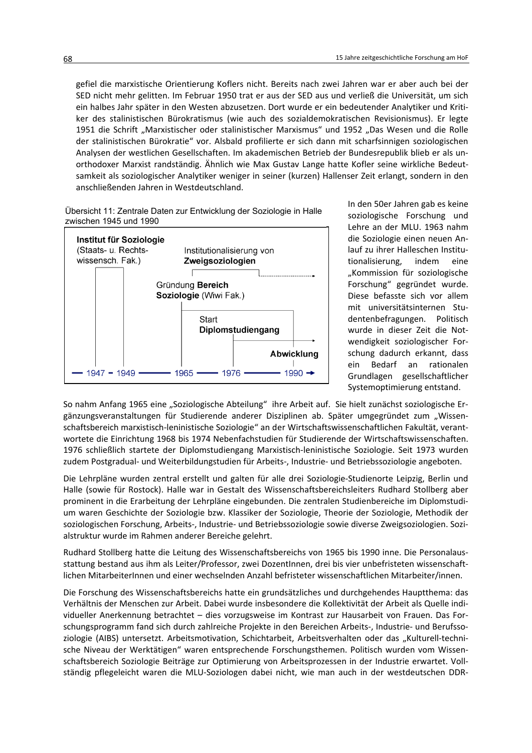gefiel die marxistische Orientierung Koflers nicht. Bereits nach zwei Jahren war er aber auch bei der SED nicht mehr gelitten. Im Februar 1950 trat er aus der SED aus und verließ die Universität, um sich ein halbes Jahr später in den Westen abzusetzen. Dort wurde er ein bedeutender Analytiker und Kritiker des stalinistischen Bürokratismus (wie auch des sozialdemokratischen Revisionismus). Er legte 1951 die Schrift "Marxistischer oder stalinistischer Marxismus" und 1952 "Das Wesen und die Rolle der stalinistischen Bürokratie" vor. Alsbald profilierte er sich dann mit scharfsinnigen soziologischen Analysen der westlichen Gesellschaften. Im akademischen Betrieb der Bundesrepublik blieb er als unorthodoxer Marxist randständig. Ähnlich wie Max Gustav Lange hatte Kofler seine wirkliche Bedeutsamkeit als soziologischer Analytiker weniger in seiner (kurzen) Hallenser Zeit erlangt, sondern in den anschließenden Jahren in Westdeutschland.

Übersicht 11: Zentrale Daten zur Entwicklung der Soziologie in Halle zwischen 1945 und 1990



In den 50er Jahren gab es keine soziologische Forschung und Lehre an der MLU. 1963 nahm die Soziologie einen neuen Anlauf zu ihrer Halleschen Institutionalisierung. indem eine "Kommission für soziologische Forschung" gegründet wurde. Diese befasste sich vor allem mit universitätsinternen Studentenbefragungen. Politisch wurde in dieser Zeit die Notwendigkeit soziologischer Forschung dadurch erkannt, dass ein Bedarf an rationalen Grundlagen gesellschaftlicher Systemoptimierung entstand.

So nahm Anfang 1965 eine "Soziologische Abteilung" ihre Arbeit auf. Sie hielt zunächst soziologische Ergänzungsveranstaltungen für Studierende anderer Disziplinen ab. Später umgegründet zum "Wissenschaftsbereich marxistisch-leninistische Soziologie" an der Wirtschaftswissenschaftlichen Fakultät, verantwortete die Einrichtung 1968 bis 1974 Nebenfachstudien für Studierende der Wirtschaftswissenschaften. 1976 schließlich startete der Diplomstudiengang Marxistisch-leninistische Soziologie. Seit 1973 wurden zudem Postgradual- und Weiterbildungstudien für Arbeits-, Industrie- und Betriebssoziologie angeboten.

Die Lehrpläne wurden zentral erstellt und galten für alle drei Soziologie-Studienorte Leipzig, Berlin und Halle (sowie für Rostock). Halle war in Gestalt des Wissenschaftsbereichsleiters Rudhard Stollberg aber prominent in die Erarbeitung der Lehrpläne eingebunden. Die zentralen Studienbereiche im Diplomstudium waren Geschichte der Soziologie bzw. Klassiker der Soziologie, Theorie der Soziologie, Methodik der soziologischen Forschung, Arbeits-, Industrie- und Betriebssoziologie sowie diverse Zweigsoziologien, Sozialstruktur wurde im Rahmen anderer Bereiche gelehrt.

Rudhard Stollberg hatte die Leitung des Wissenschaftsbereichs von 1965 bis 1990 inne. Die Personalausstattung bestand aus ihm als Leiter/Professor, zwei DozentInnen, drei bis vier unbefristeten wissenschaftlichen MitarbeiterInnen und einer wechselnden Anzahl befristeter wissenschaftlichen Mitarbeiter/innen.

Die Forschung des Wissenschaftsbereichs hatte ein grundsätzliches und durchgehendes Hauptthema: das Verhältnis der Menschen zur Arbeit. Dabei wurde insbesondere die Kollektivität der Arbeit als Quelle individueller Anerkennung betrachtet - dies vorzugsweise im Kontrast zur Hausarbeit von Frauen. Das Forschungsprogramm fand sich durch zahlreiche Projekte in den Bereichen Arbeits-, Industrie- und Berufssoziologie (AIBS) untersetzt. Arbeitsmotivation, Schichtarbeit, Arbeitsverhalten oder das "Kulturell-technische Niveau der Werktätigen" waren entsprechende Forschungsthemen. Politisch wurden vom Wissenschaftsbereich Soziologie Beiträge zur Optimierung von Arbeitsprozessen in der Industrie erwartet. Vollständig pflegeleicht waren die MLU-Soziologen dabei nicht, wie man auch in der westdeutschen DDR-